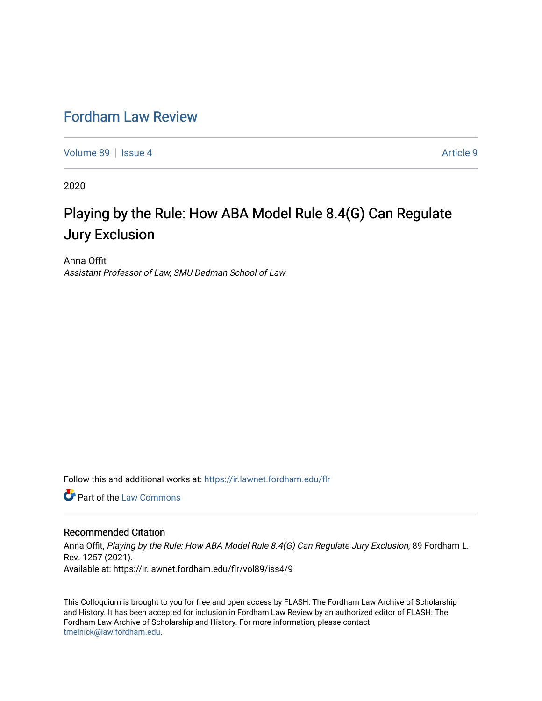## [Fordham Law Review](https://ir.lawnet.fordham.edu/flr)

[Volume 89](https://ir.lawnet.fordham.edu/flr/vol89) | [Issue 4](https://ir.lawnet.fordham.edu/flr/vol89/iss4) [Article 9](https://ir.lawnet.fordham.edu/flr/vol89/iss4/9) | Article 9 | Article 9 | Article 9 | Article 9 | Article 9 | Article 9 | Article 9 | Article 9 | Article 9 | Article 9 | Article 9 | Article 9 | Article 9 | Article 9 | Article 9 | Article 9

2020

# Playing by the Rule: How ABA Model Rule 8.4(G) Can Regulate Jury Exclusion

Anna Offit Assistant Professor of Law, SMU Dedman School of Law

Follow this and additional works at: [https://ir.lawnet.fordham.edu/flr](https://ir.lawnet.fordham.edu/flr?utm_source=ir.lawnet.fordham.edu%2Fflr%2Fvol89%2Fiss4%2F9&utm_medium=PDF&utm_campaign=PDFCoverPages)

**C** Part of the [Law Commons](http://network.bepress.com/hgg/discipline/578?utm_source=ir.lawnet.fordham.edu%2Fflr%2Fvol89%2Fiss4%2F9&utm_medium=PDF&utm_campaign=PDFCoverPages)

### Recommended Citation

Anna Offit, Playing by the Rule: How ABA Model Rule 8.4(G) Can Regulate Jury Exclusion, 89 Fordham L. Rev. 1257 (2021). Available at: https://ir.lawnet.fordham.edu/flr/vol89/iss4/9

This Colloquium is brought to you for free and open access by FLASH: The Fordham Law Archive of Scholarship and History. It has been accepted for inclusion in Fordham Law Review by an authorized editor of FLASH: The Fordham Law Archive of Scholarship and History. For more information, please contact [tmelnick@law.fordham.edu](mailto:tmelnick@law.fordham.edu).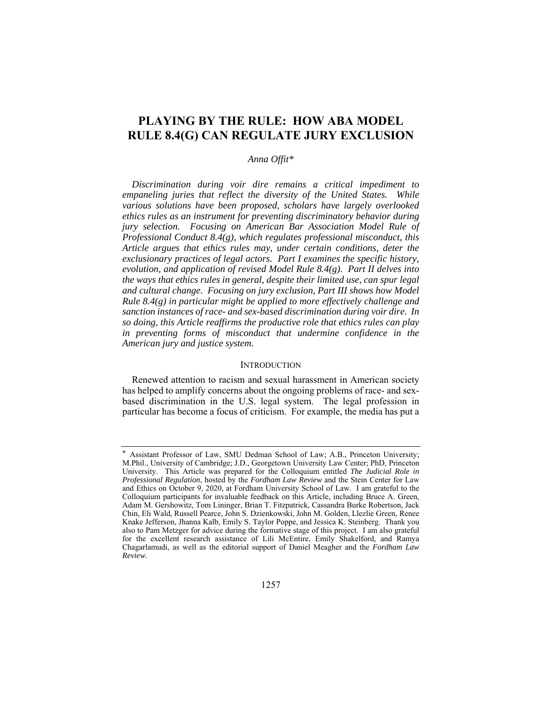## **PLAYING BY THE RULE: HOW ABA MODEL RULE 8.4(G) CAN REGULATE JURY EXCLUSION**

#### *Anna Offit\**

*Discrimination during voir dire remains a critical impediment to empaneling juries that reflect the diversity of the United States. While various solutions have been proposed, scholars have largely overlooked ethics rules as an instrument for preventing discriminatory behavior during jury selection. Focusing on American Bar Association Model Rule of Professional Conduct 8.4(g), which regulates professional misconduct, this Article argues that ethics rules may, under certain conditions, deter the exclusionary practices of legal actors. Part I examines the specific history, evolution, and application of revised Model Rule 8.4(g). Part II delves into the ways that ethics rules in general, despite their limited use, can spur legal and cultural change. Focusing on jury exclusion, Part III shows how Model Rule 8.4(g) in particular might be applied to more effectively challenge and sanction instances of race- and sex-based discrimination during voir dire. In so doing, this Article reaffirms the productive role that ethics rules can play in preventing forms of misconduct that undermine confidence in the American jury and justice system.* 

#### **INTRODUCTION**

Renewed attention to racism and sexual harassment in American society has helped to amplify concerns about the ongoing problems of race- and sexbased discrimination in the U.S. legal system. The legal profession in particular has become a focus of criticism. For example, the media has put a

Assistant Professor of Law, SMU Dedman School of Law; A.B., Princeton University; M.Phil., University of Cambridge; J.D., Georgetown University Law Center; PhD, Princeton University. This Article was prepared for the Colloquium entitled *The Judicial Role in Professional Regulation*, hosted by the *Fordham Law Review* and the Stein Center for Law and Ethics on October 9, 2020, at Fordham University School of Law. I am grateful to the Colloquium participants for invaluable feedback on this Article, including Bruce A. Green, Adam M. Gershowitz, Tom Lininger, Brian T. Fitzpatrick, Cassandra Burke Robertson, Jack Chin, Eli Wald, Russell Pearce, John S. Dzienkowski, John M. Golden, Llezlie Green, Renee Knake Jefferson, Jhanna Kalb, Emily S. Taylor Poppe, and Jessica K. Steinberg. Thank you also to Pam Metzger for advice during the formative stage of this project. I am also grateful for the excellent research assistance of Lili McEntire, Emily Shakelford, and Ramya Chagarlamudi, as well as the editorial support of Daniel Meagher and the *Fordham Law Review*.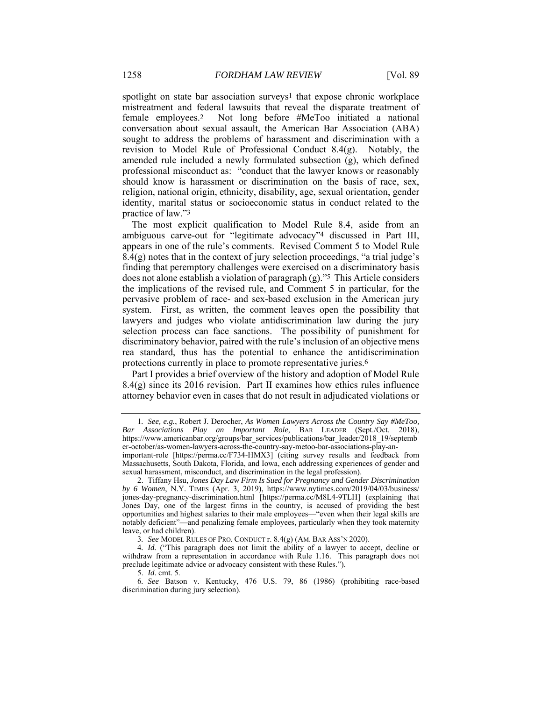spotlight on state bar association surveys<sup>1</sup> that expose chronic workplace mistreatment and federal lawsuits that reveal the disparate treatment of female employees.2 Not long before #MeToo initiated a national conversation about sexual assault, the American Bar Association (ABA) sought to address the problems of harassment and discrimination with a revision to Model Rule of Professional Conduct 8.4(g). Notably, the amended rule included a newly formulated subsection (g), which defined professional misconduct as: "conduct that the lawyer knows or reasonably should know is harassment or discrimination on the basis of race, sex, religion, national origin, ethnicity, disability, age, sexual orientation, gender identity, marital status or socioeconomic status in conduct related to the practice of law."3

The most explicit qualification to Model Rule 8.4, aside from an ambiguous carve-out for "legitimate advocacy"4 discussed in Part III, appears in one of the rule's comments. Revised Comment 5 to Model Rule  $8.4(g)$  notes that in the context of jury selection proceedings, "a trial judge's finding that peremptory challenges were exercised on a discriminatory basis does not alone establish a violation of paragraph (g)."5 This Article considers the implications of the revised rule, and Comment 5 in particular, for the pervasive problem of race- and sex-based exclusion in the American jury system. First, as written, the comment leaves open the possibility that lawyers and judges who violate antidiscrimination law during the jury selection process can face sanctions. The possibility of punishment for discriminatory behavior, paired with the rule's inclusion of an objective mens rea standard, thus has the potential to enhance the antidiscrimination protections currently in place to promote representative juries.6

Part I provides a brief overview of the history and adoption of Model Rule 8.4(g) since its 2016 revision. Part II examines how ethics rules influence attorney behavior even in cases that do not result in adjudicated violations or

<sup>1</sup>*. See, e.g.*, Robert J. Derocher, *As Women Lawyers Across the Country Say #MeToo, Bar Associations Play an Important Role*, BAR LEADER (Sept./Oct. 2018), https://www.americanbar.org/groups/bar\_services/publications/bar\_leader/2018\_19/septemb er-october/as-women-lawyers-across-the-country-say-metoo-bar-associations-play-animportant-role [https://perma.cc/F734-HMX3] (citing survey results and feedback from Massachusetts, South Dakota, Florida, and Iowa, each addressing experiences of gender and

sexual harassment, misconduct, and discrimination in the legal profession).

 <sup>2.</sup> Tiffany Hsu, *Jones Day Law Firm Is Sued for Pregnancy and Gender Discrimination by 6 Women*, N.Y. TIMES (Apr. 3, 2019), https://www.nytimes.com/2019/04/03/business/ jones-day-pregnancy-discrimination.html [https://perma.cc/M8L4-9TLH] (explaining that Jones Day, one of the largest firms in the country, is accused of providing the best opportunities and highest salaries to their male employees—"even when their legal skills are notably deficient"—and penalizing female employees, particularly when they took maternity leave, or had children).

<sup>3</sup>*. See* MODEL RULES OF PRO. CONDUCT r. 8.4(g) (AM. BAR ASS'N 2020).

<sup>4</sup>*. Id.* ("This paragraph does not limit the ability of a lawyer to accept, decline or withdraw from a representation in accordance with Rule 1.16. This paragraph does not preclude legitimate advice or advocacy consistent with these Rules.").

 <sup>5.</sup> *Id*. cmt. 5.

<sup>6</sup>*. See* Batson v. Kentucky, 476 U.S. 79, 86 (1986) (prohibiting race-based discrimination during jury selection).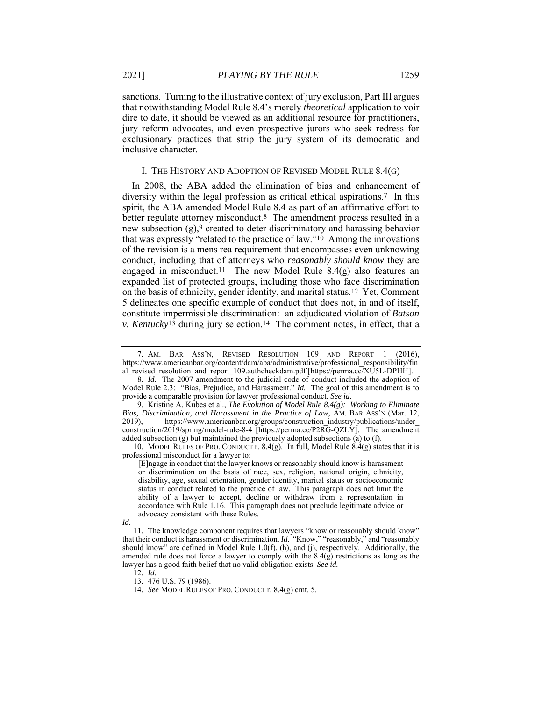sanctions. Turning to the illustrative context of jury exclusion, Part III argues that notwithstanding Model Rule 8.4's merely *theoretical* application to voir dire to date, it should be viewed as an additional resource for practitioners, jury reform advocates, and even prospective jurors who seek redress for exclusionary practices that strip the jury system of its democratic and inclusive character.

#### I. THE HISTORY AND ADOPTION OF REVISED MODEL RULE 8.4(G)

In 2008, the ABA added the elimination of bias and enhancement of diversity within the legal profession as critical ethical aspirations.7 In this spirit, the ABA amended Model Rule 8.4 as part of an affirmative effort to better regulate attorney misconduct.<sup>8</sup> The amendment process resulted in a new subsection (g),9 created to deter discriminatory and harassing behavior that was expressly "related to the practice of law."10 Among the innovations of the revision is a mens rea requirement that encompasses even unknowing conduct, including that of attorneys who *reasonably should know* they are engaged in misconduct.<sup>11</sup> The new Model Rule  $8.4(g)$  also features an expanded list of protected groups, including those who face discrimination on the basis of ethnicity, gender identity, and marital status.12 Yet, Comment 5 delineates one specific example of conduct that does not, in and of itself, constitute impermissible discrimination: an adjudicated violation of *Batson v. Kentucky*13 during jury selection.14 The comment notes, in effect, that a

10. MODEL RULES OF PRO. CONDUCT r. 8.4(g). In full, Model Rule  $8.4(g)$  states that it is professional misconduct for a lawyer to:

12*. Id.*

 <sup>7.</sup> AM. BAR ASS'N, REVISED RESOLUTION 109 AND REPORT 1 (2016), https://www.americanbar.org/content/dam/aba/administrative/professional\_responsibility/fin al\_revised\_resolution\_and\_report\_109.authcheckdam.pdf [https://perma.cc/XU5L-DPHH].

<sup>8</sup>*. Id.* The 2007 amendment to the judicial code of conduct included the adoption of Model Rule 2.3: "Bias, Prejudice, and Harassment." *Id.* The goal of this amendment is to provide a comparable provision for lawyer professional conduct. *See id.* 

 <sup>9.</sup> Kristine A. Kubes et al., *The Evolution of Model Rule 8.4(g): Working to Eliminate Bias, Discrimination, and Harassment in the Practice of Law*, AM. BAR ASS'N (Mar. 12, 2019). https://www.americanbar.org/groups/construction industry/publications/under https://www.americanbar.org/groups/construction\_industry/publications/under construction/2019/spring/model-rule-8-4 [https://perma.cc/P2RG-QZLY]. The amendment added subsection (g) but maintained the previously adopted subsections (a) to (f).

<sup>[</sup>E]ngage in conduct that the lawyer knows or reasonably should know is harassment or discrimination on the basis of race, sex, religion, national origin, ethnicity, disability, age, sexual orientation, gender identity, marital status or socioeconomic status in conduct related to the practice of law. This paragraph does not limit the ability of a lawyer to accept, decline or withdraw from a representation in accordance with Rule 1.16. This paragraph does not preclude legitimate advice or advocacy consistent with these Rules.

*Id.* 

 <sup>11.</sup> The knowledge component requires that lawyers "know or reasonably should know" that their conduct is harassment or discrimination. *Id.* "Know," "reasonably," and "reasonably should know" are defined in Model Rule 1.0(f), (h), and (j), respectively. Additionally, the amended rule does not force a lawyer to comply with the 8.4(g) restrictions as long as the lawyer has a good faith belief that no valid obligation exists. *See id.*

<sup>13</sup>*.* 476 U.S. 79 (1986).

<sup>14</sup>*. See* MODEL RULES OF PRO. CONDUCT r. 8.4(g) cmt. 5.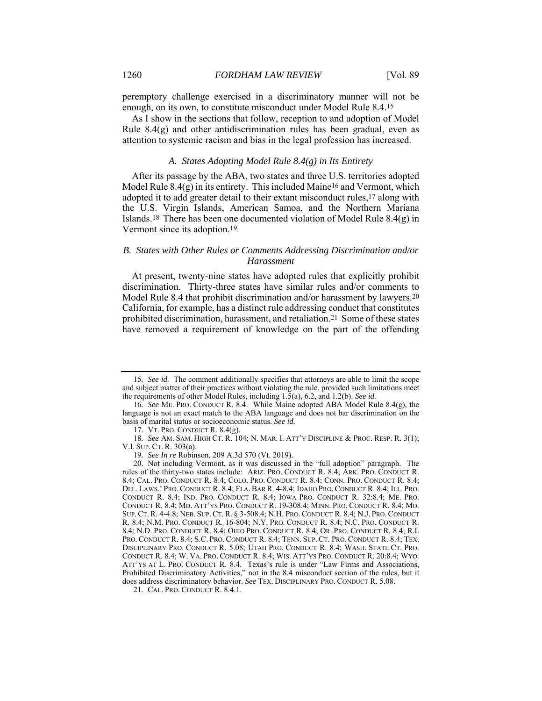peremptory challenge exercised in a discriminatory manner will not be enough, on its own, to constitute misconduct under Model Rule 8.4.15

As I show in the sections that follow, reception to and adoption of Model Rule 8.4(g) and other antidiscrimination rules has been gradual, even as attention to systemic racism and bias in the legal profession has increased.

#### *A. States Adopting Model Rule 8.4(g) in Its Entirety*

After its passage by the ABA, two states and three U.S. territories adopted Model Rule  $8.4(g)$  in its entirety. This included Maine<sup>16</sup> and Vermont, which adopted it to add greater detail to their extant misconduct rules,17 along with the U.S. Virgin Islands, American Samoa, and the Northern Mariana Islands.18 There has been one documented violation of Model Rule 8.4(g) in Vermont since its adoption.19

#### *B. States with Other Rules or Comments Addressing Discrimination and/or Harassment*

At present, twenty-nine states have adopted rules that explicitly prohibit discrimination. Thirty-three states have similar rules and/or comments to Model Rule 8.4 that prohibit discrimination and/or harassment by lawyers.20 California, for example, has a distinct rule addressing conduct that constitutes prohibited discrimination, harassment, and retaliation.21 Some of these states have removed a requirement of knowledge on the part of the offending

<sup>15</sup>*. See id.* The comment additionally specifies that attorneys are able to limit the scope and subject matter of their practices without violating the rule, provided such limitations meet the requirements of other Model Rules, including 1.5(a), 6.2, and 1.2(b). *See id.* 

<sup>16</sup>*. See* ME. PRO. CONDUCT R. 8.4. While Maine adopted ABA Model Rule 8.4(g), the language is not an exact match to the ABA language and does not bar discrimination on the basis of marital status or socioeconomic status. *See id.*

 <sup>17.</sup> VT. PRO. CONDUCT R. 8.4(g).

<sup>18</sup>*. See* AM. SAM. HIGH CT. R. 104; N. MAR. I. ATT'Y DISCIPLINE & PROC. RESP. R. 3(1); V.I. SUP. CT. R. 303(a).

<sup>19</sup>*. See In re* Robinson, 209 A.3d 570 (Vt. 2019).

 <sup>20.</sup> Not including Vermont, as it was discussed in the "full adoption" paragraph. The rules of the thirty-two states include: ARIZ. PRO. CONDUCT R. 8.4; ARK. PRO. CONDUCT R. 8.4; CAL. PRO. CONDUCT R. 8.4; COLO. PRO. CONDUCT R. 8.4; CONN. PRO. CONDUCT R. 8.4; DEL. LAWS.' PRO. CONDUCT R. 8.4; FLA. BAR R. 4-8.4; IDAHO PRO. CONDUCT R. 8.4; ILL. PRO. CONDUCT R. 8.4; IND. PRO. CONDUCT R. 8.4; IOWA PRO. CONDUCT R. 32:8.4; ME. PRO. CONDUCT R. 8.4; MD. ATT'YS PRO. CONDUCT R. 19-308.4; MINN. PRO. CONDUCT R. 8.4; MO. SUP. CT. R. 4-4.8; NEB. SUP. CT. R. § 3-508.4; N.H. PRO. CONDUCT R. 8.4; N.J. PRO. CONDUCT R. 8.4; N.M. PRO. CONDUCT R. 16-804; N.Y. PRO. CONDUCT R. 8.4; N.C. PRO. CONDUCT R. 8.4; N.D. PRO. CONDUCT R. 8.4; OHIO PRO. CONDUCT R. 8.4; OR. PRO. CONDUCT R. 8.4; R.I. PRO. CONDUCT R. 8.4; S.C. PRO. CONDUCT R. 8.4; TENN. SUP. CT. PRO. CONDUCT R. 8.4; TEX. DISCIPLINARY PRO. CONDUCT R. 5.08; UTAH PRO. CONDUCT R. 8.4; WASH. STATE CT. PRO. CONDUCT R. 8.4; W. VA. PRO. CONDUCT R. 8.4; WIS. ATT'YS PRO. CONDUCT R. 20:8.4; WYO. ATT'YS AT L. PRO. CONDUCT R. 8.4. Texas's rule is under "Law Firms and Associations, Prohibited Discriminatory Activities," not in the 8.4 misconduct section of the rules, but it does address discriminatory behavior. *See* TEX. DISCIPLINARY PRO. CONDUCT R. 5.08.

 <sup>21.</sup> CAL. PRO. CONDUCT R. 8.4.1.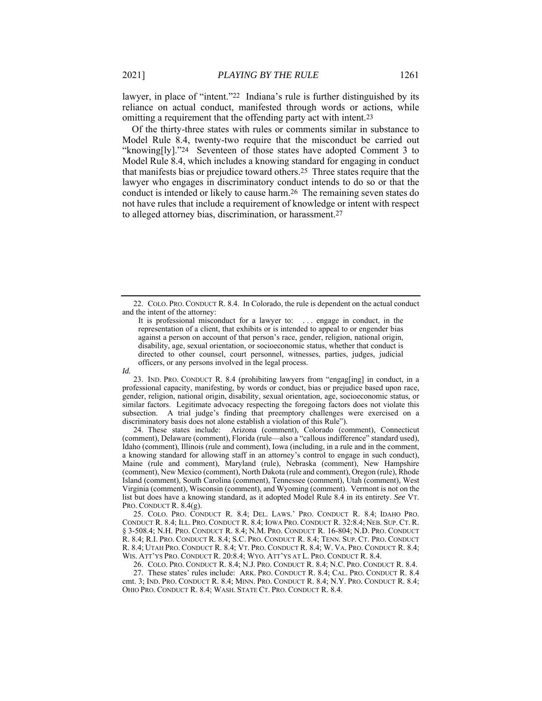lawyer, in place of "intent."22 Indiana's rule is further distinguished by its reliance on actual conduct, manifested through words or actions, while omitting a requirement that the offending party act with intent.23

Of the thirty-three states with rules or comments similar in substance to Model Rule 8.4, twenty-two require that the misconduct be carried out "knowing[ly]."24 Seventeen of those states have adopted Comment 3 to Model Rule 8.4, which includes a knowing standard for engaging in conduct that manifests bias or prejudice toward others.25 Three states require that the lawyer who engages in discriminatory conduct intends to do so or that the conduct is intended or likely to cause harm.26 The remaining seven states do not have rules that include a requirement of knowledge or intent with respect to alleged attorney bias, discrimination, or harassment.27

 23. IND. PRO. CONDUCT R. 8.4 (prohibiting lawyers from "engag[ing] in conduct, in a professional capacity, manifesting, by words or conduct, bias or prejudice based upon race, gender, religion, national origin, disability, sexual orientation, age, socioeconomic status, or similar factors. Legitimate advocacy respecting the foregoing factors does not violate this subsection. A trial judge's finding that preemptory challenges were exercised on a discriminatory basis does not alone establish a violation of this Rule").

 24. These states include: Arizona (comment), Colorado (comment), Connecticut (comment), Delaware (comment), Florida (rule—also a "callous indifference" standard used), Idaho (comment), Illinois (rule and comment), Iowa (including, in a rule and in the comment, a knowing standard for allowing staff in an attorney's control to engage in such conduct), Maine (rule and comment), Maryland (rule), Nebraska (comment), New Hampshire (comment), New Mexico (comment), North Dakota (rule and comment), Oregon (rule), Rhode Island (comment), South Carolina (comment), Tennessee (comment), Utah (comment), West Virginia (comment), Wisconsin (comment), and Wyoming (comment). Vermont is not on the list but does have a knowing standard, as it adopted Model Rule 8.4 in its entirety. *See* VT. PRO. CONDUCT R. 8.4(g).

 25. COLO. PRO. CONDUCT R. 8.4; DEL. LAWS.' PRO. CONDUCT R. 8.4; IDAHO PRO. CONDUCT R. 8.4; ILL. PRO. CONDUCT R. 8.4; IOWA PRO. CONDUCT R. 32:8.4; NEB. SUP. CT. R. § 3-508.4; N.H. PRO. CONDUCT R. 8.4; N.M. PRO. CONDUCT R. 16-804; N.D. PRO. CONDUCT R. 8.4; R.I. PRO. CONDUCT R. 8.4; S.C. PRO. CONDUCT R. 8.4; TENN. SUP. CT. PRO. CONDUCT R. 8.4; UTAH PRO. CONDUCT R. 8.4; VT. PRO. CONDUCT R. 8.4; W. VA. PRO. CONDUCT R. 8.4; WIS. ATT'YS PRO. CONDUCT R. 20:8.4; WYO. ATT'YS AT L. PRO. CONDUCT R. 8.4.

 26. COLO. PRO. CONDUCT R. 8.4; N.J. PRO. CONDUCT R. 8.4; N.C. PRO. CONDUCT R. 8.4. 27. These states' rules include: ARK. PRO. CONDUCT R. 8.4; CAL. PRO. CONDUCT R. 8.4 cmt. 3; IND. PRO. CONDUCT R. 8.4; MINN. PRO. CONDUCT R. 8.4; N.Y. PRO. CONDUCT R. 8.4; OHIO PRO. CONDUCT R. 8.4; WASH. STATE CT. PRO. CONDUCT R. 8.4.

 <sup>22.</sup> COLO. PRO. CONDUCT R. 8.4. In Colorado, the rule is dependent on the actual conduct and the intent of the attorney:

It is professional misconduct for a lawyer to: . . . engage in conduct, in the representation of a client, that exhibits or is intended to appeal to or engender bias against a person on account of that person's race, gender, religion, national origin, disability, age, sexual orientation, or socioeconomic status, whether that conduct is directed to other counsel, court personnel, witnesses, parties, judges, judicial officers, or any persons involved in the legal process.

*Id.*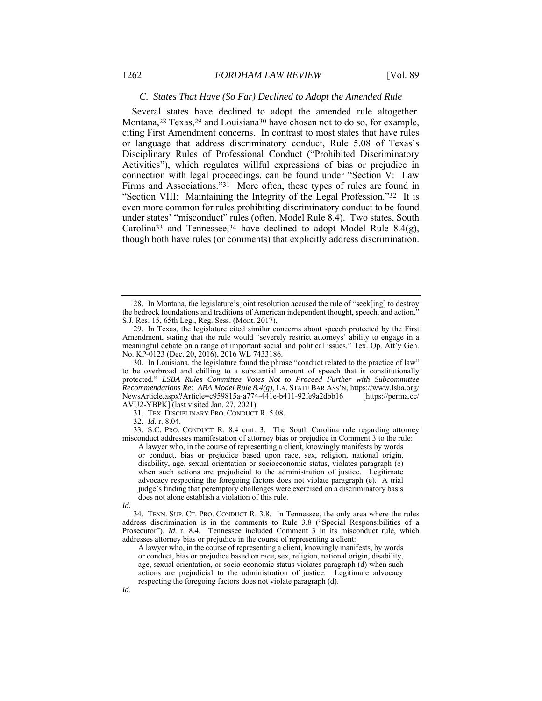#### *C. States That Have (So Far) Declined to Adopt the Amended Rule*

Several states have declined to adopt the amended rule altogether. Montana,<sup>28</sup> Texas,<sup>29</sup> and Louisiana<sup>30</sup> have chosen not to do so, for example, citing First Amendment concerns. In contrast to most states that have rules or language that address discriminatory conduct, Rule 5.08 of Texas's Disciplinary Rules of Professional Conduct ("Prohibited Discriminatory Activities"), which regulates willful expressions of bias or prejudice in connection with legal proceedings, can be found under "Section V: Law Firms and Associations."31 More often, these types of rules are found in "Section VIII: Maintaining the Integrity of the Legal Profession."32 It is even more common for rules prohibiting discriminatory conduct to be found under states' "misconduct" rules (often, Model Rule 8.4). Two states, South Carolina<sup>33</sup> and Tennessee,<sup>34</sup> have declined to adopt Model Rule 8.4(g), though both have rules (or comments) that explicitly address discrimination.

31. TEX. DISCIPLINARY PRO. CONDUCT R. 5.08.

32*. Id.* r. 8.04.

 33. S.C. PRO. CONDUCT R. 8.4 cmt. 3. The South Carolina rule regarding attorney misconduct addresses manifestation of attorney bias or prejudice in Comment 3 to the rule:

A lawyer who, in the course of representing a client, knowingly manifests by words or conduct, bias or prejudice based upon race, sex, religion, national origin, disability, age, sexual orientation or socioeconomic status, violates paragraph (e) when such actions are prejudicial to the administration of justice. Legitimate advocacy respecting the foregoing factors does not violate paragraph (e). A trial judge's finding that peremptory challenges were exercised on a discriminatory basis does not alone establish a violation of this rule.

 34. TENN. SUP. CT. PRO. CONDUCT R. 3.8. In Tennessee, the only area where the rules address discrimination is in the comments to Rule 3.8 ("Special Responsibilities of a Prosecutor"). *Id*. r. 8.4. Tennessee included Comment 3 in its misconduct rule, which addresses attorney bias or prejudice in the course of representing a client:

A lawyer who, in the course of representing a client, knowingly manifests, by words or conduct, bias or prejudice based on race, sex, religion, national origin, disability, age, sexual orientation, or socio-economic status violates paragraph (d) when such actions are prejudicial to the administration of justice. Legitimate advocacy respecting the foregoing factors does not violate paragraph (d).

 <sup>28.</sup> In Montana, the legislature's joint resolution accused the rule of "seek[ing] to destroy the bedrock foundations and traditions of American independent thought, speech, and action." S.J. Res. 15, 65th Leg., Reg. Sess. (Mont. 2017).

 <sup>29.</sup> In Texas, the legislature cited similar concerns about speech protected by the First Amendment, stating that the rule would "severely restrict attorneys' ability to engage in a meaningful debate on a range of important social and political issues." Tex. Op. Att'y Gen. No. KP-0123 (Dec. 20, 2016), 2016 WL 7433186.

 <sup>30.</sup> In Louisiana, the legislature found the phrase "conduct related to the practice of law" to be overbroad and chilling to a substantial amount of speech that is constitutionally protected." *LSBA Rules Committee Votes Not to Proceed Further with Subcommittee Recommendations Re: ABA Model Rule 8.4(g)*, LA. STATE BAR ASS'N, https://www.lsba.org/ NewsArticle.aspx?Article=c959815a-a774-441e-b411-92fe9a2dbb16 [https://perma.cc/ AVU2-YBPK] (last visited Jan. 27, 2021).

*Id.*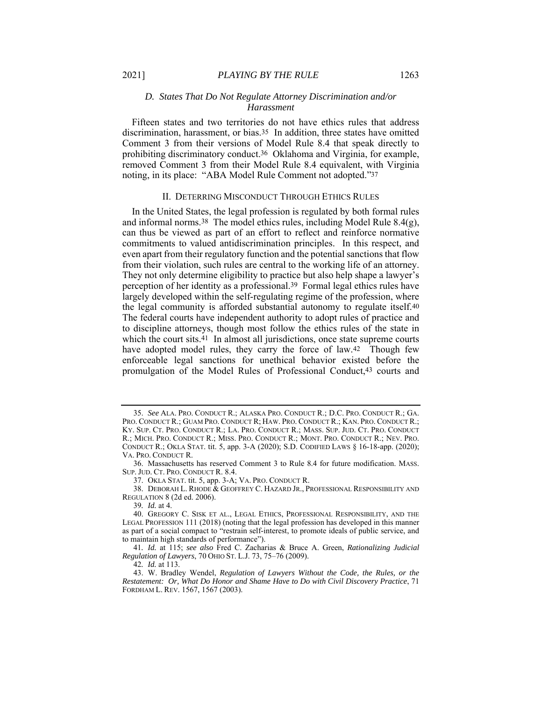#### *D. States That Do Not Regulate Attorney Discrimination and/or Harassment*

Fifteen states and two territories do not have ethics rules that address discrimination, harassment, or bias.35 In addition, three states have omitted Comment 3 from their versions of Model Rule 8.4 that speak directly to prohibiting discriminatory conduct.36 Oklahoma and Virginia, for example, removed Comment 3 from their Model Rule 8.4 equivalent, with Virginia noting, in its place: "ABA Model Rule Comment not adopted."37

#### II. DETERRING MISCONDUCT THROUGH ETHICS RULES

In the United States, the legal profession is regulated by both formal rules and informal norms.<sup>38</sup> The model ethics rules, including Model Rule  $8.4(g)$ , can thus be viewed as part of an effort to reflect and reinforce normative commitments to valued antidiscrimination principles. In this respect, and even apart from their regulatory function and the potential sanctions that flow from their violation, such rules are central to the working life of an attorney. They not only determine eligibility to practice but also help shape a lawyer's perception of her identity as a professional.39 Formal legal ethics rules have largely developed within the self-regulating regime of the profession, where the legal community is afforded substantial autonomy to regulate itself.40 The federal courts have independent authority to adopt rules of practice and to discipline attorneys, though most follow the ethics rules of the state in which the court sits.<sup>41</sup> In almost all jurisdictions, once state supreme courts have adopted model rules, they carry the force of law.<sup>42</sup> Though few enforceable legal sanctions for unethical behavior existed before the promulgation of the Model Rules of Professional Conduct,43 courts and

37. OKLA STAT. tit. 5, app. 3-A; VA. PRO. CONDUCT R.

 38. DEBORAH L. RHODE & GEOFFREY C. HAZARD JR., PROFESSIONAL RESPONSIBILITY AND REGULATION 8 (2d ed. 2006).

39*. Id.* at 4.

41*. Id.* at 115; *see also* Fred C. Zacharias & Bruce A. Green, *Rationalizing Judicial Regulation of Lawyers*, 70 OHIO ST. L.J. 73, 75–76 (2009).

42*. Id.* at 113.

 43. W. Bradley Wendel, *Regulation of Lawyers Without the Code, the Rules, or the Restatement: Or, What Do Honor and Shame Have to Do with Civil Discovery Practice*, 71 FORDHAM L. REV. 1567, 1567 (2003).

 <sup>35.</sup> *See* ALA. PRO. CONDUCT R.; ALASKA PRO. CONDUCT R.; D.C. PRO. CONDUCT R.; GA. PRO. CONDUCT R.; GUAM PRO. CONDUCT R; HAW. PRO. CONDUCT R.; KAN. PRO. CONDUCT R.; KY. SUP. CT. PRO. CONDUCT R.; LA. PRO. CONDUCT R.; MASS. SUP. JUD. CT. PRO. CONDUCT R.; MICH. PRO. CONDUCT R.; MISS. PRO. CONDUCT R.; MONT. PRO. CONDUCT R.; NEV. PRO. CONDUCT R.; OKLA STAT. tit. 5, app. 3-A (2020); S.D. CODIFIED LAWS § 16-18-app. (2020); VA. PRO. CONDUCT R.

 <sup>36.</sup> Massachusetts has reserved Comment 3 to Rule 8.4 for future modification. MASS. SUP. JUD. CT. PRO. CONDUCT R. 8.4.

 <sup>40.</sup> GREGORY C. SISK ET AL., LEGAL ETHICS, PROFESSIONAL RESPONSIBILITY, AND THE LEGAL PROFESSION 111 (2018) (noting that the legal profession has developed in this manner as part of a social compact to "restrain self-interest, to promote ideals of public service, and to maintain high standards of performance").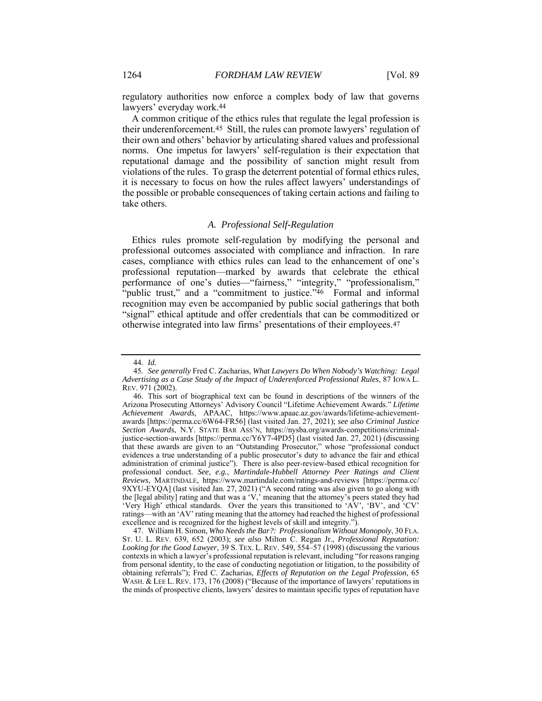regulatory authorities now enforce a complex body of law that governs lawyers' everyday work.44

A common critique of the ethics rules that regulate the legal profession is their underenforcement.45 Still, the rules can promote lawyers' regulation of their own and others' behavior by articulating shared values and professional norms. One impetus for lawyers' self-regulation is their expectation that reputational damage and the possibility of sanction might result from violations of the rules. To grasp the deterrent potential of formal ethics rules, it is necessary to focus on how the rules affect lawyers' understandings of the possible or probable consequences of taking certain actions and failing to take others.

#### *A. Professional Self-Regulation*

Ethics rules promote self-regulation by modifying the personal and professional outcomes associated with compliance and infraction. In rare cases, compliance with ethics rules can lead to the enhancement of one's professional reputation—marked by awards that celebrate the ethical performance of one's duties—"fairness," "integrity," "professionalism," "public trust," and a "commitment to justice."<sup>46</sup> Formal and informal recognition may even be accompanied by public social gatherings that both "signal" ethical aptitude and offer credentials that can be commoditized or otherwise integrated into law firms' presentations of their employees.47

<sup>44</sup>*. Id.*

<sup>45</sup>*. See generally* Fred C. Zacharias, *What Lawyers Do When Nobody's Watching: Legal Advertising as a Case Study of the Impact of Underenforced Professional Rules*, 87 IOWA L. REV. 971 (2002).

 <sup>46.</sup> This sort of biographical text can be found in descriptions of the winners of the Arizona Prosecuting Attorneys' Advisory Council "Lifetime Achievement Awards." *Lifetime Achievement Awards*, APAAC, https://www.apaac.az.gov/awards/lifetime-achievementawards [https://perma.cc/6W64-FR56] (last visited Jan. 27, 2021); *see also Criminal Justice Section Awards*, N.Y. STATE BAR ASS'N, https://nysba.org/awards-competitions/criminaljustice-section-awards [https://perma.cc/Y6Y7-4PD5] (last visited Jan. 27, 2021) (discussing that these awards are given to an "Outstanding Prosecutor," whose "professional conduct evidences a true understanding of a public prosecutor's duty to advance the fair and ethical administration of criminal justice"). There is also peer-review-based ethical recognition for professional conduct. *See, e.g.*, *Martindale-Hubbell Attorney Peer Ratings and Client Reviews*, MARTINDALE, https://www.martindale.com/ratings-and-reviews [https://perma.cc/ 9XYU-EYQA] (last visited Jan. 27, 2021) ("A second rating was also given to go along with the [legal ability] rating and that was a 'V,' meaning that the attorney's peers stated they had 'Very High' ethical standards. Over the years this transitioned to 'AV', 'BV', and 'CV' ratings—with an 'AV' rating meaning that the attorney had reached the highest of professional excellence and is recognized for the highest levels of skill and integrity.").

 <sup>47.</sup> William H. Simon, *Who Needs the Bar?: Professionalism Without Monopoly*, 30 FLA. ST. U. L. REV. 639, 652 (2003); *see also* Milton C. Regan Jr., *Professional Reputation: Looking for the Good Lawyer*, 39 S. TEX. L. REV. 549, 554–57 (1998) (discussing the various contexts in which a lawyer's professional reputation is relevant, including "for reasons ranging from personal identity, to the ease of conducting negotiation or litigation, to the possibility of obtaining referrals"); Fred C. Zacharias, *Effects of Reputation on the Legal Profession*, 65 WASH. & LEE L. REV. 173, 176 (2008) ("Because of the importance of lawyers' reputations in the minds of prospective clients, lawyers' desires to maintain specific types of reputation have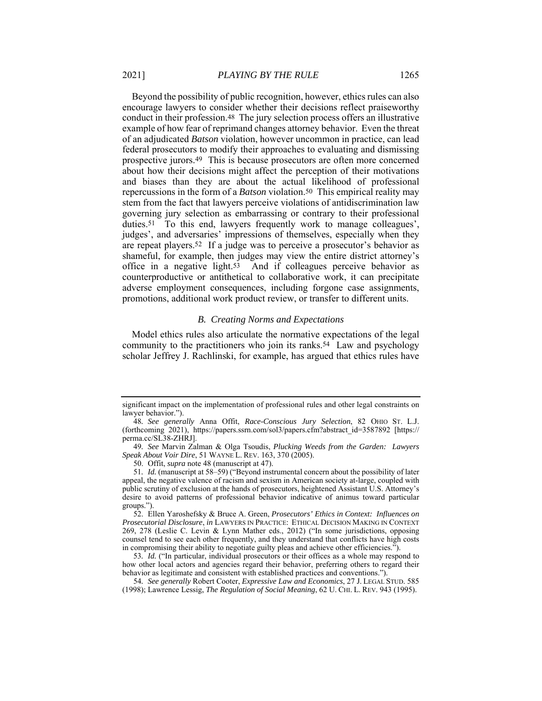Beyond the possibility of public recognition, however, ethics rules can also encourage lawyers to consider whether their decisions reflect praiseworthy conduct in their profession.48 The jury selection process offers an illustrative example of how fear of reprimand changes attorney behavior. Even the threat of an adjudicated *Batson* violation, however uncommon in practice, can lead federal prosecutors to modify their approaches to evaluating and dismissing prospective jurors.49 This is because prosecutors are often more concerned about how their decisions might affect the perception of their motivations and biases than they are about the actual likelihood of professional repercussions in the form of a *Batson* violation.50 This empirical reality may stem from the fact that lawyers perceive violations of antidiscrimination law governing jury selection as embarrassing or contrary to their professional duties.<sup>51</sup> To this end, lawyers frequently work to manage colleagues', judges', and adversaries' impressions of themselves, especially when they are repeat players.52 If a judge was to perceive a prosecutor's behavior as shameful, for example, then judges may view the entire district attorney's office in a negative light.53 And if colleagues perceive behavior as counterproductive or antithetical to collaborative work, it can precipitate adverse employment consequences, including forgone case assignments, promotions, additional work product review, or transfer to different units.

#### *B. Creating Norms and Expectations*

Model ethics rules also articulate the normative expectations of the legal community to the practitioners who join its ranks.54 Law and psychology scholar Jeffrey J. Rachlinski, for example, has argued that ethics rules have

significant impact on the implementation of professional rules and other legal constraints on lawyer behavior.").

<sup>48</sup>*. See generally* Anna Offit, *Race-Conscious Jury Selection*, 82 OHIO ST. L.J. (forthcoming 2021), https://papers.ssrn.com/sol3/papers.cfm?abstract\_id=3587892 [https:// perma.cc/SL38-ZHRJ].

<sup>49</sup>*. See* Marvin Zalman & Olga Tsoudis, *Plucking Weeds from the Garden: Lawyers Speak About Voir Dire*, 51 WAYNE L. REV. 163, 370 (2005).

 <sup>50.</sup> Offit, *supra* note 48 (manuscript at 47).

<sup>51</sup>*. Id.* (manuscript at 58–59) ("Beyond instrumental concern about the possibility of later appeal, the negative valence of racism and sexism in American society at-large, coupled with public scrutiny of exclusion at the hands of prosecutors, heightened Assistant U.S. Attorney's desire to avoid patterns of professional behavior indicative of animus toward particular groups.").

 <sup>52.</sup> Ellen Yaroshefsky & Bruce A. Green, *Prosecutors' Ethics in Context: Influences on Prosecutorial Disclosure*, *in* LAWYERS IN PRACTICE: ETHICAL DECISION MAKING IN CONTEXT 269, 278 (Leslie C. Levin & Lynn Mather eds., 2012) ("In some jurisdictions, opposing counsel tend to see each other frequently, and they understand that conflicts have high costs in compromising their ability to negotiate guilty pleas and achieve other efficiencies.").

<sup>53</sup>*. Id.* ("In particular, individual prosecutors or their offices as a whole may respond to how other local actors and agencies regard their behavior, preferring others to regard their behavior as legitimate and consistent with established practices and conventions.").

<sup>54</sup>*. See generally* Robert Cooter, *Expressive Law and Economics*, 27 J. LEGAL STUD. 585 (1998); Lawrence Lessig, *The Regulation of Social Meaning*, 62 U. CHI. L. REV. 943 (1995).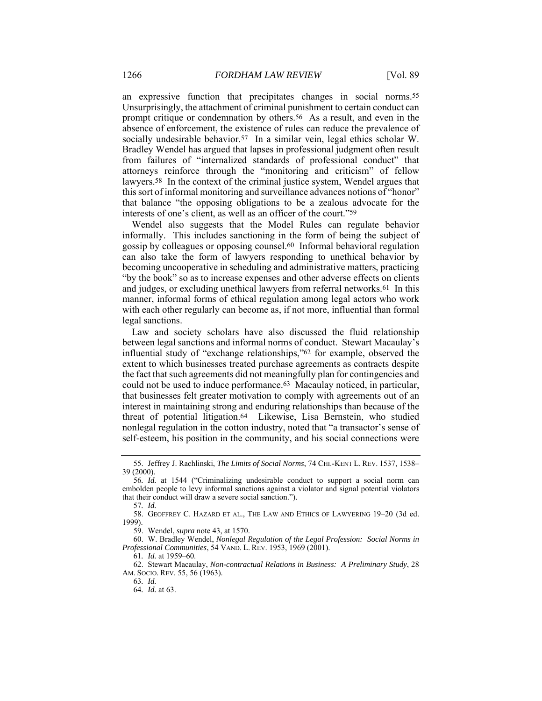an expressive function that precipitates changes in social norms.55 Unsurprisingly, the attachment of criminal punishment to certain conduct can prompt critique or condemnation by others.56 As a result, and even in the absence of enforcement, the existence of rules can reduce the prevalence of socially undesirable behavior.<sup>57</sup> In a similar vein, legal ethics scholar W. Bradley Wendel has argued that lapses in professional judgment often result from failures of "internalized standards of professional conduct" that attorneys reinforce through the "monitoring and criticism" of fellow lawyers.58 In the context of the criminal justice system, Wendel argues that this sort of informal monitoring and surveillance advances notions of "honor" that balance "the opposing obligations to be a zealous advocate for the interests of one's client, as well as an officer of the court."59

Wendel also suggests that the Model Rules can regulate behavior informally. This includes sanctioning in the form of being the subject of gossip by colleagues or opposing counsel.60 Informal behavioral regulation can also take the form of lawyers responding to unethical behavior by becoming uncooperative in scheduling and administrative matters, practicing "by the book" so as to increase expenses and other adverse effects on clients and judges, or excluding unethical lawyers from referral networks.61 In this manner, informal forms of ethical regulation among legal actors who work with each other regularly can become as, if not more, influential than formal legal sanctions.

Law and society scholars have also discussed the fluid relationship between legal sanctions and informal norms of conduct. Stewart Macaulay's influential study of "exchange relationships,"62 for example, observed the extent to which businesses treated purchase agreements as contracts despite the fact that such agreements did not meaningfully plan for contingencies and could not be used to induce performance.63 Macaulay noticed, in particular, that businesses felt greater motivation to comply with agreements out of an interest in maintaining strong and enduring relationships than because of the threat of potential litigation.64 Likewise, Lisa Bernstein, who studied nonlegal regulation in the cotton industry, noted that "a transactor's sense of self-esteem, his position in the community, and his social connections were

59. Wendel, *supra* note 43, at 1570.

63*. Id.* 64*. Id.* at 63.

 <sup>55.</sup> Jeffrey J. Rachlinski, *The Limits of Social Norms*, 74 CHI.-KENT L. REV. 1537, 1538– 39 (2000).

<sup>56</sup>*. Id.* at 1544 ("Criminalizing undesirable conduct to support a social norm can embolden people to levy informal sanctions against a violator and signal potential violators that their conduct will draw a severe social sanction.").

<sup>57</sup>*. Id.*

 <sup>58.</sup> GEOFFREY C. HAZARD ET AL., THE LAW AND ETHICS OF LAWYERING 19–20 (3d ed. 1999).

 <sup>60.</sup> W. Bradley Wendel, *Nonlegal Regulation of the Legal Profession: Social Norms in Professional Communities*, 54 VAND. L. REV. 1953, 1969 (2001).

<sup>61</sup>*. Id.* at 1959–60.

 <sup>62.</sup> Stewart Macaulay, *Non-contractual Relations in Business: A Preliminary Study*, 28 AM. SOCIO. REV. 55, 56 (1963).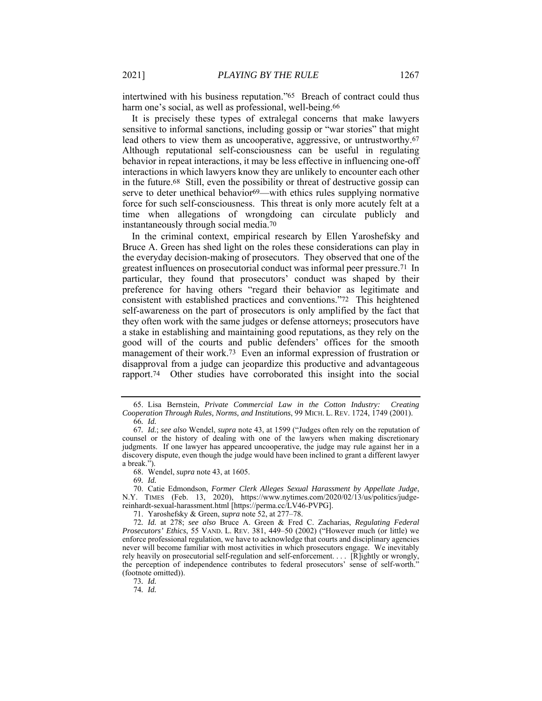intertwined with his business reputation."65 Breach of contract could thus harm one's social, as well as professional, well-being.66

It is precisely these types of extralegal concerns that make lawyers sensitive to informal sanctions, including gossip or "war stories" that might lead others to view them as uncooperative, aggressive, or untrustworthy.67 Although reputational self-consciousness can be useful in regulating behavior in repeat interactions, it may be less effective in influencing one-off interactions in which lawyers know they are unlikely to encounter each other in the future.68 Still, even the possibility or threat of destructive gossip can serve to deter unethical behavior<sup>69</sup>—with ethics rules supplying normative force for such self-consciousness. This threat is only more acutely felt at a time when allegations of wrongdoing can circulate publicly and instantaneously through social media.70

In the criminal context, empirical research by Ellen Yaroshefsky and Bruce A. Green has shed light on the roles these considerations can play in the everyday decision-making of prosecutors. They observed that one of the greatest influences on prosecutorial conduct was informal peer pressure.71 In particular, they found that prosecutors' conduct was shaped by their preference for having others "regard their behavior as legitimate and consistent with established practices and conventions."72 This heightened self-awareness on the part of prosecutors is only amplified by the fact that they often work with the same judges or defense attorneys; prosecutors have a stake in establishing and maintaining good reputations, as they rely on the good will of the courts and public defenders' offices for the smooth management of their work.73 Even an informal expression of frustration or disapproval from a judge can jeopardize this productive and advantageous rapport.74 Other studies have corroborated this insight into the social

69*. Id.*

 70. Catie Edmondson, *Former Clerk Alleges Sexual Harassment by Appellate Judge*, N.Y. TIMES (Feb. 13, 2020), https://www.nytimes.com/2020/02/13/us/politics/judgereinhardt-sexual-harassment.html [https://perma.cc/LV46-PVPG].

71. Yaroshefsky & Green, *supra* note 52, at 277–78.

72*. Id.* at 278; *see also* Bruce A. Green & Fred C. Zacharias, *Regulating Federal Prosecutors' Ethics*, 55 VAND. L. REV. 381, 449–50 (2002) ("However much (or little) we enforce professional regulation, we have to acknowledge that courts and disciplinary agencies never will become familiar with most activities in which prosecutors engage. We inevitably rely heavily on prosecutorial self-regulation and self-enforcement. . . . [R]ightly or wrongly, the perception of independence contributes to federal prosecutors' sense of self-worth." (footnote omitted)).

73*. Id.* 74*. Id.*

 <sup>65.</sup> Lisa Bernstein, *Private Commercial Law in the Cotton Industry: Creating Cooperation Through Rules, Norms, and Institutions*, 99 MICH. L. REV. 1724, 1749 (2001). 66*. Id.*

<sup>67</sup>*. Id.*; *see also* Wendel, *supra* note 43, at 1599 ("Judges often rely on the reputation of counsel or the history of dealing with one of the lawyers when making discretionary judgments. If one lawyer has appeared uncooperative, the judge may rule against her in a discovery dispute, even though the judge would have been inclined to grant a different lawyer a break.").

 <sup>68.</sup> Wendel, *supra* note 43, at 1605.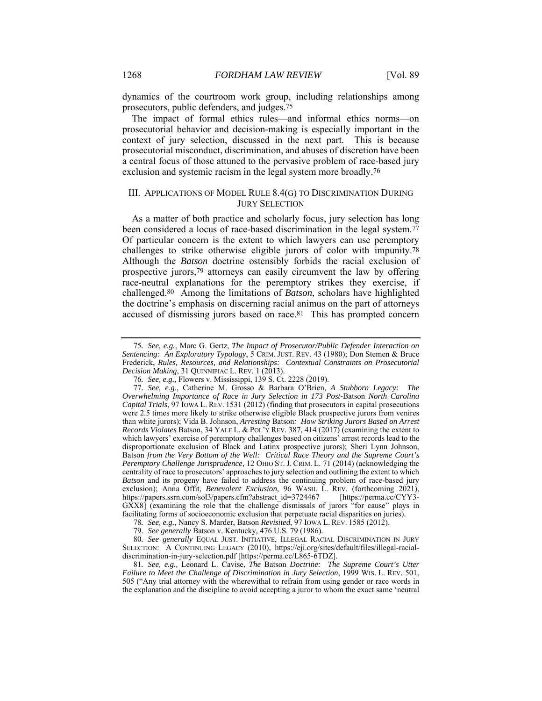dynamics of the courtroom work group, including relationships among prosecutors, public defenders, and judges.75

The impact of formal ethics rules—and informal ethics norms—on prosecutorial behavior and decision-making is especially important in the context of jury selection, discussed in the next part. This is because prosecutorial misconduct, discrimination, and abuses of discretion have been a central focus of those attuned to the pervasive problem of race-based jury exclusion and systemic racism in the legal system more broadly.76

#### III. APPLICATIONS OF MODEL RULE 8.4(G) TO DISCRIMINATION DURING JURY SELECTION

As a matter of both practice and scholarly focus, jury selection has long been considered a locus of race-based discrimination in the legal system.77 Of particular concern is the extent to which lawyers can use peremptory challenges to strike otherwise eligible jurors of color with impunity.78 Although the *Batson* doctrine ostensibly forbids the racial exclusion of prospective jurors,79 attorneys can easily circumvent the law by offering race-neutral explanations for the peremptory strikes they exercise, if challenged.80 Among the limitations of *Batson*, scholars have highlighted the doctrine's emphasis on discerning racial animus on the part of attorneys accused of dismissing jurors based on race.81 This has prompted concern

81*. See, e.g.,* Leonard L. Cavise, *The* Batson *Doctrine: The Supreme Court's Utter Failure to Meet the Challenge of Discrimination in Jury Selection*, 1999 WIS. L. REV. 501, 505 ("Any trial attorney with the wherewithal to refrain from using gender or race words in the explanation and the discipline to avoid accepting a juror to whom the exact same 'neutral

<sup>75</sup>*. See, e.g.*, Marc G. Gertz, *The Impact of Prosecutor/Public Defender Interaction on Sentencing: An Exploratory Typology*, 5 CRIM. JUST. REV. 43 (1980); Don Stemen & Bruce Frederick, *Rules, Resources, and Relationships: Contextual Constraints on Prosecutorial Decision Making*, 31 QUINNIPIAC L. REV. 1 (2013).

<sup>76</sup>*. See, e.g.,* Flowers v. Mississippi, 139 S. Ct. 2228 (2019).

<sup>77</sup>*. See, e.g.*, Catherine M. Grosso & Barbara O'Brien, *A Stubborn Legacy: The Overwhelming Importance of Race in Jury Selection in 173 Post-*Batson *North Carolina Capital Trials*, 97 IOWA L. REV. 1531 (2012) (finding that prosecutors in capital prosecutions were 2.5 times more likely to strike otherwise eligible Black prospective jurors from venires than white jurors); Vida B. Johnson, *Arresting* Batson*: How Striking Jurors Based on Arrest Records Violates* Batson, 34 YALE L. & POL'Y REV. 387, 414 (2017) (examining the extent to which lawyers' exercise of peremptory challenges based on citizens' arrest records lead to the disproportionate exclusion of Black and Latinx prospective jurors); Sheri Lynn Johnson, Batson *from the Very Bottom of the Well: Critical Race Theory and the Supreme Court's Peremptory Challenge Jurisprudence*, 12 OHIO ST. J. CRIM. L. 71 (2014) (acknowledging the centrality of race to prosecutors' approaches to jury selection and outlining the extent to which *Batson* and its progeny have failed to address the continuing problem of race-based jury exclusion); Anna Offit, *Benevolent Exclusion*, 96 WASH. L. REV. (forthcoming 2021), https://papers.ssrn.com/sol3/papers.cfm?abstract\_id=3724467 [https://perma.cc/CYY3- GXX8] (examining the role that the challenge dismissals of jurors "for cause" plays in facilitating forms of socioeconomic exclusion that perpetuate racial disparities on juries).

<sup>78</sup>*. See, e.g.*, Nancy S. Marder, Batson *Revisited*, 97 IOWA L. REV. 1585 (2012).

<sup>79</sup>*. See generally* Batson v. Kentucky*,* 476 U.S. 79 (1986).

<sup>80</sup>*. See generally* EQUAL JUST. INITIATIVE, ILLEGAL RACIAL DISCRIMINATION IN JURY SELECTION: A CONTINUING LEGACY (2010), https://eji.org/sites/default/files/illegal-racialdiscrimination-in-jury-selection.pdf [https://perma.cc/L865-6TDZ].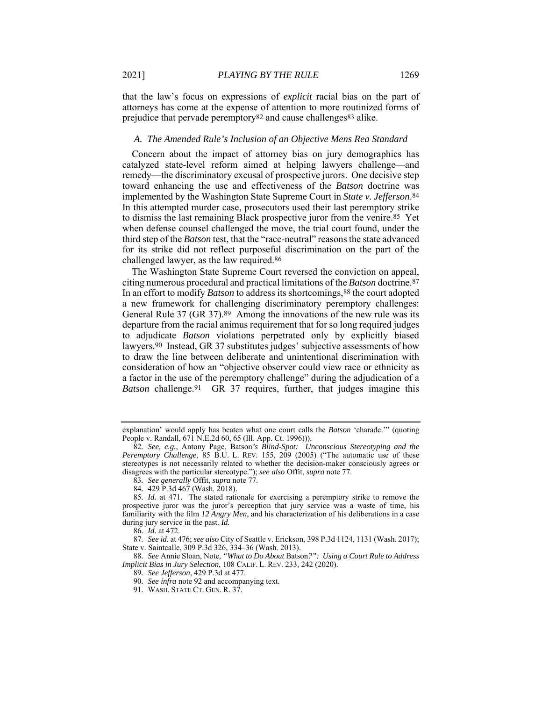that the law's focus on expressions of *explicit* racial bias on the part of attorneys has come at the expense of attention to more routinized forms of prejudice that pervade peremptory82 and cause challenges83 alike.

#### *A. The Amended Rule's Inclusion of an Objective Mens Rea Standard*

Concern about the impact of attorney bias on jury demographics has catalyzed state-level reform aimed at helping lawyers challenge—and remedy—the discriminatory excusal of prospective jurors. One decisive step toward enhancing the use and effectiveness of the *Batson* doctrine was implemented by the Washington State Supreme Court in *State v. Jefferson*.84 In this attempted murder case, prosecutors used their last peremptory strike to dismiss the last remaining Black prospective juror from the venire.85 Yet when defense counsel challenged the move, the trial court found, under the third step of the *Batson* test, that the "race-neutral" reasons the state advanced for its strike did not reflect purposeful discrimination on the part of the challenged lawyer, as the law required.86

The Washington State Supreme Court reversed the conviction on appeal, citing numerous procedural and practical limitations of the *Batson* doctrine.87 In an effort to modify *Batson* to address its shortcomings,88 the court adopted a new framework for challenging discriminatory peremptory challenges: General Rule 37 (GR 37).89 Among the innovations of the new rule was its departure from the racial animus requirement that for so long required judges to adjudicate *Batson* violations perpetrated only by explicitly biased lawyers.90 Instead, GR 37 substitutes judges' subjective assessments of how to draw the line between deliberate and unintentional discrimination with consideration of how an "objective observer could view race or ethnicity as a factor in the use of the peremptory challenge" during the adjudication of a *Batson* challenge.91 GR 37 requires, further, that judges imagine this

explanation' would apply has beaten what one court calls the *Batson* 'charade.'" (quoting People v. Randall, 671 N.E.2d 60, 65 (Ill. App. Ct. 1996))).

<sup>82</sup>*. See, e.g.*, Antony Page, Batson*'s Blind-Spot: Unconscious Stereotyping and the Peremptory Challenge*, 85 B.U. L. REV. 155, 209 (2005) ("The automatic use of these stereotypes is not necessarily related to whether the decision-maker consciously agrees or disagrees with the particular stereotype."); *see also* Offit, *supra* note 77.

<sup>83</sup>*. See generally* Offit, *supra* note 77.

<sup>84</sup>*.* 429 P.3d 467 (Wash. 2018).

<sup>85</sup>*. Id.* at 471. The stated rationale for exercising a peremptory strike to remove the prospective juror was the juror's perception that jury service was a waste of time, his familiarity with the film *12 Angry Men*, and his characterization of his deliberations in a case during jury service in the past. *Id.* 

<sup>86</sup>*. Id.* at 472.

<sup>87</sup>*. See id.* at 476; *see also* City of Seattle v. Erickson, 398 P.3d 1124, 1131 (Wash. 2017); State v. Saintcalle, 309 P.3d 326, 334–36 (Wash. 2013).

<sup>88</sup>*. See* Annie Sloan, Note, *"What to Do About* Batson*?": Using a Court Rule to Address Implicit Bias in Jury Selection*, 108 CALIF. L. REV. 233, 242 (2020).

<sup>89</sup>*. See Jefferson*, 429 P.3d at 477.

<sup>90</sup>*. See infra* note 92 and accompanying text.

 <sup>91.</sup> WASH. STATE CT. GEN. R. 37.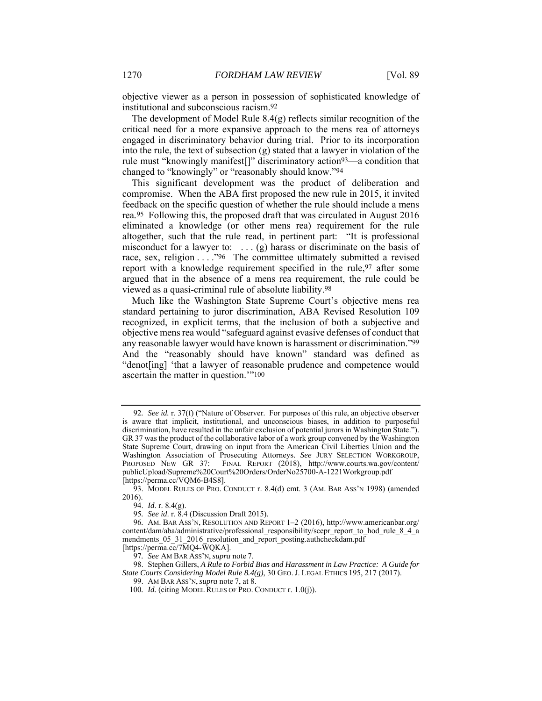objective viewer as a person in possession of sophisticated knowledge of institutional and subconscious racism.92

The development of Model Rule 8.4(g) reflects similar recognition of the critical need for a more expansive approach to the mens rea of attorneys engaged in discriminatory behavior during trial. Prior to its incorporation into the rule, the text of subsection (g) stated that a lawyer in violation of the rule must "knowingly manifest[]" discriminatory action93—a condition that changed to "knowingly" or "reasonably should know."94

This significant development was the product of deliberation and compromise. When the ABA first proposed the new rule in 2015, it invited feedback on the specific question of whether the rule should include a mens rea*.*95 Following this, the proposed draft that was circulated in August 2016 eliminated a knowledge (or other mens rea) requirement for the rule altogether, such that the rule read, in pertinent part: "It is professional misconduct for a lawyer to: . . . (g) harass or discriminate on the basis of race, sex, religion . . . ."96 The committee ultimately submitted a revised report with a knowledge requirement specified in the rule, <sup>97</sup> after some argued that in the absence of a mens rea requirement, the rule could be viewed as a quasi-criminal rule of absolute liability.98

Much like the Washington State Supreme Court's objective mens rea standard pertaining to juror discrimination, ABA Revised Resolution 109 recognized, in explicit terms, that the inclusion of both a subjective and objective mens rea would "safeguard against evasive defenses of conduct that any reasonable lawyer would have known is harassment or discrimination."99 And the "reasonably should have known" standard was defined as "denot[ing] 'that a lawyer of reasonable prudence and competence would ascertain the matter in question.'"100

<sup>92</sup>*. See id.* r. 37(f) ("Nature of Observer. For purposes of this rule, an objective observer is aware that implicit, institutional, and unconscious biases, in addition to purposeful discrimination, have resulted in the unfair exclusion of potential jurors in Washington State."). GR 37 was the product of the collaborative labor of a work group convened by the Washington State Supreme Court, drawing on input from the American Civil Liberties Union and the Washington Association of Prosecuting Attorneys. *See* JURY SELECTION WORKGROUP, PROPOSED NEW GR 37: FINAL REPORT (2018), http://www.courts.wa.gov/content/ publicUpload/Supreme%20Court%20Orders/OrderNo25700-A-1221Workgroup.pdf [https://perma.cc/VQM6-B4S8].

 <sup>93.</sup> MODEL RULES OF PRO. CONDUCT r. 8.4(d) cmt. 3 (AM. BAR ASS'N 1998) (amended 2016).

 <sup>94.</sup> *Id*. r. 8.4(g).

<sup>95</sup>*. See id*. r. 8.4 (Discussion Draft 2015).

<sup>96</sup>*.* AM. BAR ASS'N, RESOLUTION AND REPORT 1–2 (2016), http://www.americanbar.org/ content/dam/aba/administrative/professional\_responsibility/scepr\_report\_to\_hod\_rule\_8\_4\_a mendments 05\_31\_2016\_resolution\_and\_report\_posting.authcheckdam.pdf [https://perma.cc/7MQ4-WQKA].

<sup>97</sup>*. See* AM BAR ASS'N, *supra* note 7.

 <sup>98.</sup> Stephen Gillers, *A Rule to Forbid Bias and Harassment in Law Practice: A Guide for State Courts Considering Model Rule 8.4(g)*, 30 GEO. J. LEGAL ETHICS 195, 217 (2017).

 <sup>99.</sup> AM BAR ASS'N, *supra* note 7, at 8.

<sup>100</sup>*. Id.* (citing MODEL RULES OF PRO. CONDUCT r. 1.0(j)).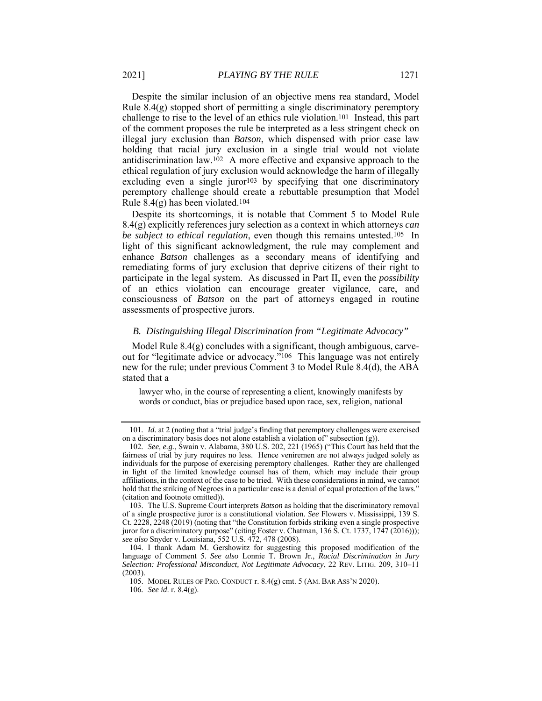Despite the similar inclusion of an objective mens rea standard, Model Rule  $8.4(g)$  stopped short of permitting a single discriminatory peremptory challenge to rise to the level of an ethics rule violation.101 Instead, this part of the comment proposes the rule be interpreted as a less stringent check on illegal jury exclusion than *Batson*, which dispensed with prior case law holding that racial jury exclusion in a single trial would not violate antidiscrimination law.102 A more effective and expansive approach to the ethical regulation of jury exclusion would acknowledge the harm of illegally excluding even a single juror<sup>103</sup> by specifying that one discriminatory peremptory challenge should create a rebuttable presumption that Model Rule  $8.4(g)$  has been violated.<sup>104</sup>

Despite its shortcomings, it is notable that Comment 5 to Model Rule 8.4(g) explicitly references jury selection as a context in which attorneys *can be subject to ethical regulation*, even though this remains untested.105 In light of this significant acknowledgment, the rule may complement and enhance *Batson* challenges as a secondary means of identifying and remediating forms of jury exclusion that deprive citizens of their right to participate in the legal system. As discussed in Part II, even the *possibility* of an ethics violation can encourage greater vigilance, care, and consciousness of *Batson* on the part of attorneys engaged in routine assessments of prospective jurors.

#### *B. Distinguishing Illegal Discrimination from "Legitimate Advocacy"*

Model Rule  $8.4(g)$  concludes with a significant, though ambiguous, carveout for "legitimate advice or advocacy."106 This language was not entirely new for the rule; under previous Comment 3 to Model Rule 8.4(d), the ABA stated that a

lawyer who, in the course of representing a client, knowingly manifests by words or conduct, bias or prejudice based upon race, sex, religion, national

<sup>101</sup>*. Id.* at 2 (noting that a "trial judge's finding that peremptory challenges were exercised on a discriminatory basis does not alone establish a violation of" subsection (g)).

<sup>102</sup>*. See, e.g.*, Swain v. Alabama, 380 U.S. 202, 221 (1965) ("This Court has held that the fairness of trial by jury requires no less. Hence veniremen are not always judged solely as individuals for the purpose of exercising peremptory challenges. Rather they are challenged in light of the limited knowledge counsel has of them, which may include their group affiliations, in the context of the case to be tried. With these considerations in mind, we cannot hold that the striking of Negroes in a particular case is a denial of equal protection of the laws." (citation and footnote omitted)).

 <sup>103.</sup> The U.S. Supreme Court interprets *Batson* as holding that the discriminatory removal of a single prospective juror is a constitutional violation. *See* Flowers v. Mississippi, 139 S. Ct. 2228, 2248 (2019) (noting that "the Constitution forbids striking even a single prospective juror for a discriminatory purpose" (citing Foster v. Chatman, 136 S. Ct. 1737, 1747 (2016))); *see also* Snyder v. Louisiana*,* 552 U.S. 472, 478 (2008).

 <sup>104.</sup> I thank Adam M. Gershowitz for suggesting this proposed modification of the language of Comment 5. *See also* Lonnie T. Brown Jr., *Racial Discrimination in Jury Selection: Professional Misconduct, Not Legitimate Advocacy*, 22 REV. LITIG. 209, 310–11 (2003).

 <sup>105.</sup> MODEL RULES OF PRO. CONDUCT r. 8.4(g) cmt. 5 (AM. BAR ASS'N 2020).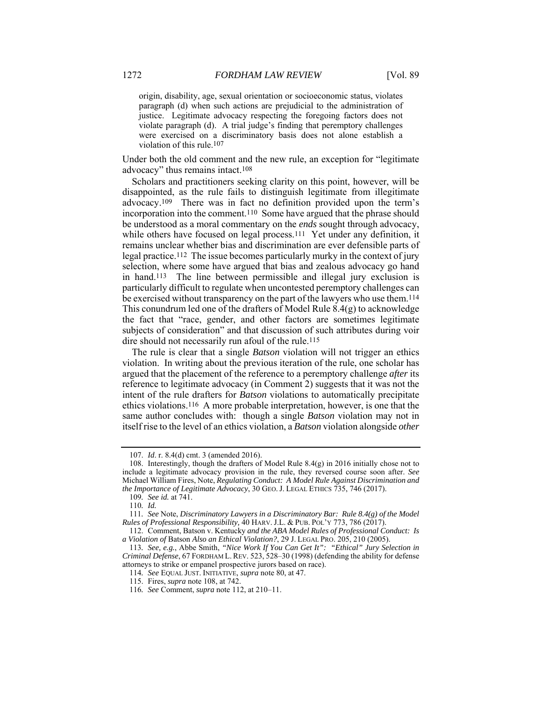origin, disability, age, sexual orientation or socioeconomic status, violates paragraph (d) when such actions are prejudicial to the administration of justice. Legitimate advocacy respecting the foregoing factors does not violate paragraph (d). A trial judge's finding that peremptory challenges were exercised on a discriminatory basis does not alone establish a violation of this rule.107

Under both the old comment and the new rule, an exception for "legitimate advocacy" thus remains intact.108

Scholars and practitioners seeking clarity on this point, however, will be disappointed, as the rule fails to distinguish legitimate from illegitimate advocacy.109 There was in fact no definition provided upon the term's incorporation into the comment.110 Some have argued that the phrase should be understood as a moral commentary on the *ends* sought through advocacy, while others have focused on legal process.<sup>111</sup> Yet under any definition, it remains unclear whether bias and discrimination are ever defensible parts of legal practice.112 The issue becomes particularly murky in the context of jury selection, where some have argued that bias and zealous advocacy go hand in hand.113 The line between permissible and illegal jury exclusion is particularly difficult to regulate when uncontested peremptory challenges can be exercised without transparency on the part of the lawyers who use them.114 This conundrum led one of the drafters of Model Rule 8.4(g) to acknowledge the fact that "race, gender, and other factors are sometimes legitimate subjects of consideration" and that discussion of such attributes during voir dire should not necessarily run afoul of the rule.<sup>115</sup>

The rule is clear that a single *Batson* violation will not trigger an ethics violation. In writing about the previous iteration of the rule, one scholar has argued that the placement of the reference to a peremptory challenge *after* its reference to legitimate advocacy (in Comment 2) suggests that it was not the intent of the rule drafters for *Batson* violations to automatically precipitate ethics violations.116 A more probable interpretation, however, is one that the same author concludes with: though a single *Batson* violation may not in itself rise to the level of an ethics violation, a *Batson* violation alongside *other*

 <sup>107.</sup> *Id*. r. 8.4(d) cmt. 3 (amended 2016).

 <sup>108.</sup> Interestingly, though the drafters of Model Rule 8.4(g) in 2016 initially chose not to include a legitimate advocacy provision in the rule, they reversed course soon after. *See* Michael William Fires, Note, *Regulating Conduct: A Model Rule Against Discrimination and the Importance of Legitimate Advocacy*, 30 GEO.J. LEGAL ETHICS 735, 746 (2017).

<sup>109</sup>*. See id.* at 741.

<sup>110</sup>*. Id.*

<sup>111</sup>*. See* Note, *Discriminatory Lawyers in a Discriminatory Bar: Rule 8.4(g) of the Model Rules of Professional Responsibility,* 40 HARV. J.L. & PUB. POL'Y 773, 786 (2017).

 <sup>112.</sup> Comment, Batson v. Kentucky *and the ABA Model Rules of Professional Conduct: Is a Violation of* Batson *Also an Ethical Violation?*, 29 J. LEGAL PRO. 205, 210 (2005).

<sup>113</sup>*. See, e.g.*, Abbe Smith, *"Nice Work If You Can Get It": "Ethical" Jury Selection in Criminal Defense*, 67 FORDHAM L.REV. 523, 528–30 (1998) (defending the ability for defense attorneys to strike or empanel prospective jurors based on race).

<sup>114</sup>*. See* EQUAL JUST. INITIATIVE, *supra* note 80, at 47.

 <sup>115.</sup> Fires, *supra* note 108, at 742.

<sup>116</sup>*. See* Comment, *supra* note 112, at 210–11.